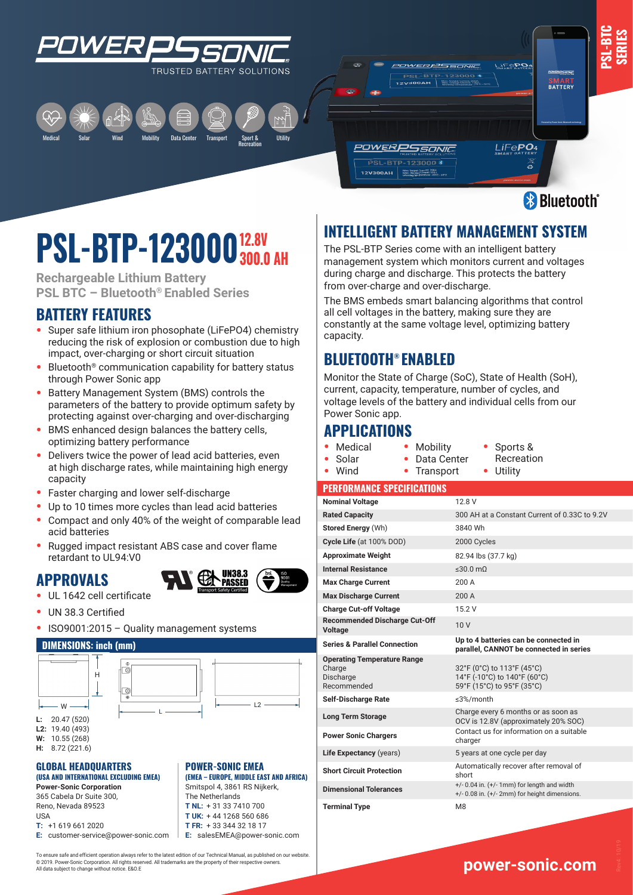





# **12.8V PSL-BIP-123000**<sup>12.0V</sup>

**Rechargeable Lithium Battery PSL BTC – Bluetooth® Enabled Series**

Wind

## **BATTERY FEATURES**

- **•** Super safe lithium iron phosophate (LiFePO4) chemistry reducing the risk of explosion or combustion due to high impact, over-charging or short circuit situation
- **•** Bluetooth® communication capability for battery status through Power Sonic app
- **•** Battery Management System (BMS) controls the parameters of the battery to provide optimum safety by protecting against over-charging and over-discharging
- **•** BMS enhanced design balances the battery cells, optimizing battery performance
- **•** Delivers twice the power of lead acid batteries, even at high discharge rates, while maintaining high energy capacity
- **•** Faster charging and lower self-discharge
- **•** Up to 10 times more cycles than lead acid batteries
- **•** Compact and only 40% of the weight of comparable lead acid batteries
- **•** Rugged impact resistant ABS case and cover flame retardant to UL94:V0

## **APPROVALS**



- **•** UL 1642 cell certificate
- **•** UN 38.3 Certified
- **•** ISO9001:2015 Quality management systems

#### **DIMENSIONS: inch (mm)**





**L2:** 19.40 (493) **W:** 10.55 (268)

**H:** 8.72 (221.6)

#### **GLOBAL HEADQUARTERS (USA AND INTERNATIONAL EXCLUDING EMEA)**

**Power-Sonic Corporation** 365 Cabela Dr Suite 300, Reno, Nevada 89523 USA **T:** +1 619 661 2020

**E:** customer-service@power-sonic.com

W **POWER-SONIC EMEA (EMEA – EUROPE, MIDDLE EAST AND AFRICA)** Smitspol 4, 3861 RS Nijkerk,

The Netherlands **T NL:** + 31 33 7410 700 **T UK:** + 44 1268 560 686 **T FR:** + 33 344 32 18 17 **E:** salesEMEA@power-sonic.com

To ensure safe and efficient operation always refer to the latest edition of our Technical Manual, as published on our website. © 2019. Power-Sonic Corporation. All rights reserved. All trademarks are the property of their respective owners. All data subject to change without notice. E&O.E

# **INTELLIGENT BATTERY MANAGEMENT SYSTEM**

The PSL-BTP Series come with an intelligent battery management system which monitors current and voltages during charge and discharge. This protects the battery from over-charge and over-discharge.

The BMS embeds smart balancing algorithms that control all cell voltages in the battery, making sure they are constantly at the same voltage level, optimizing battery capacity.

## **BLUETOOTH® ENABLED**

Monitor the State of Charge (SoC), State of Health (SoH), current, capacity, temperature, number of cycles, and voltage levels of the battery and individual cells from our Power Sonic app.

## **APPLICATIONS**

**•** Medical **•** Solar

**•** Wind

**•** Mobility **•** Data Center **•** Sports &

**•** Transport

Recreation **•** Utility

**www.power-sonic.com** 

#### **PERFORMANCE SPECIFICATIONS**

| <b>Nominal Voltage</b>                                                   | 12 8 V                                                                                                 |
|--------------------------------------------------------------------------|--------------------------------------------------------------------------------------------------------|
| <b>Rated Capacity</b>                                                    | 300 AH at a Constant Current of 0.33C to 9.2V                                                          |
| Stored Energy (Wh)                                                       | 3840 Wh                                                                                                |
| Cycle Life (at 100% DOD)                                                 | 2000 Cycles                                                                                            |
| <b>Approximate Weight</b>                                                | 82.94 lbs (37.7 kg)                                                                                    |
| <b>Internal Resistance</b>                                               | $\leq 30.0$ mQ                                                                                         |
| <b>Max Charge Current</b>                                                | 200 A                                                                                                  |
| <b>Max Discharge Current</b>                                             | 200A                                                                                                   |
| <b>Charge Cut-off Voltage</b>                                            | 15.2 V                                                                                                 |
| <b>Recommended Discharge Cut-Off</b><br><b>Voltage</b>                   | 10V                                                                                                    |
| <b>Series &amp; Parallel Connection</b>                                  | Up to 4 batteries can be connected in<br>parallel, CANNOT be connected in series                       |
| <b>Operating Temperature Range</b><br>Charge<br>Discharge<br>Recommended | 32°F (0°C) to 113°F (45°C)<br>14°F (-10°C) to 140°F (60°C)<br>59°F (15°C) to 95°F (35°C)               |
| <b>Self-Discharge Rate</b>                                               | $\leq$ 3%/month                                                                                        |
| <b>Long Term Storage</b>                                                 | Charge every 6 months or as soon as<br>OCV is 12.8V (approximately 20% SOC)                            |
| <b>Power Sonic Chargers</b>                                              | Contact us for information on a suitable<br>charger                                                    |
| Life Expectancy (years)                                                  | 5 years at one cycle per day                                                                           |
| <b>Short Circuit Protection</b>                                          | Automatically recover after removal of<br>short                                                        |
| <b>Dimensional Tolerances</b>                                            | $+/- 0.04$ in. $(+/- 1$ mm) for length and width<br>$+/-$ 0.08 in. $(+/- 2$ mm) for height dimensions. |
| <b>Terminal Type</b>                                                     | M <sub>8</sub>                                                                                         |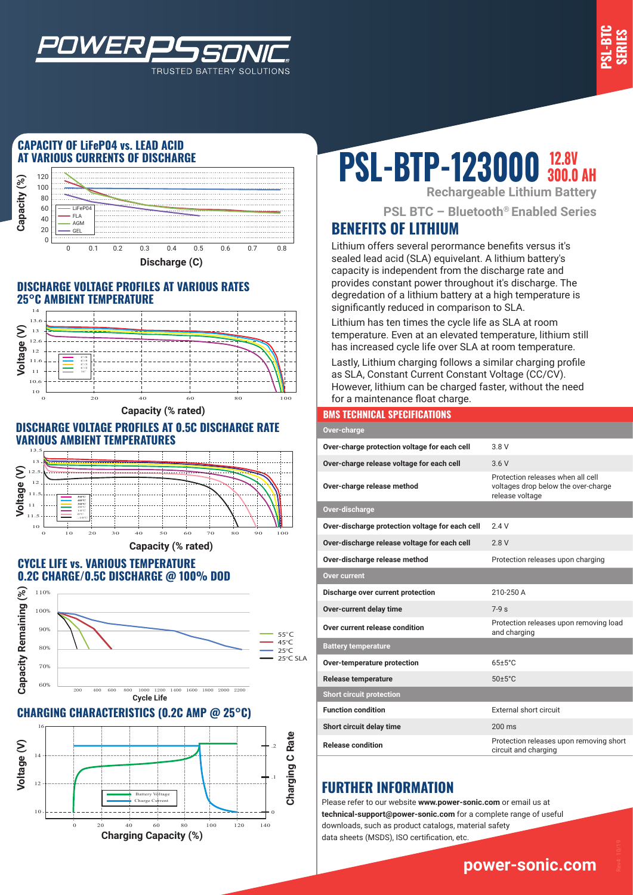

## **CAPACITY OF LiFeP04 vs. LEAD ACID AT VARIOUS CURRENTS OF DISCHARGE**

*WER* 



TRUSTED BATTERY SOLUTIONS

#### **DISCHARGE VOLTAGE PROFILES AT VARIOUS RATES 25°C AMBIENT TEMPERATURE**



**Capacity (% rated)**

#### **DISCHARGE VOLTAGE PROFILES AT 0.5C DISCHARGE RATE VARIOUS AMBIENT TEMPERATURES**



#### **CYCLE LIFE vs. VARIOUS TEMPERATURE 0.2C CHARGE/0.5C DISCHARGE @ 100% DOD**



## **CHARGING CHARACTERISTICS (0.2C AMP @ 25°C)**



# **PSL-BTP-123000 300.0 AH**

**Rechargeable Lithium Battery**

**PSL BTC – Bluetooth® Enabled Series**

# **BENEFITS OF LITHIUM**

Lithium offers several perormance benefits versus it's sealed lead acid (SLA) equivelant. A lithium battery's capacity is independent from the discharge rate and provides constant power throughout it's discharge. The degredation of a lithium battery at a high temperature is significantly reduced in comparison to SLA.

Lithium has ten times the cycle life as SLA at room temperature. Even at an elevated temperature, lithium still has increased cycle life over SLA at room temperature.

Lastly, Lithium charging follows a similar charging profile as SLA, Constant Current Constant Voltage (CC/CV). However, lithium can be charged faster, without the need for a maintenance float charge.

#### **BMS TECHNICAL SPECIFICATIONS**

| Over-charge                                     |                                                                                             |
|-------------------------------------------------|---------------------------------------------------------------------------------------------|
| Over-charge protection voltage for each cell    | 3 8 V                                                                                       |
| Over-charge release voltage for each cell       | 36V                                                                                         |
| Over-charge release method                      | Protection releases when all cell<br>voltages drop below the over-charge<br>release voltage |
| Over-discharge                                  |                                                                                             |
| Over-discharge protection voltage for each cell | 24V                                                                                         |
| Over-discharge release voltage for each cell    | 2.8V                                                                                        |
| Over-discharge release method                   | Protection releases upon charging                                                           |
| Over current                                    |                                                                                             |
| Discharge over current protection               | 210-250 A                                                                                   |
| Over-current delay time                         | $7-9s$                                                                                      |
| Over current release condition                  | Protection releases upon removing load<br>and charging                                      |
| <b>Battery temperature</b>                      |                                                                                             |
| Over-temperature protection                     | $65+5^{\circ}$ C                                                                            |
| <b>Release temperature</b>                      | $50 \pm 5^{\circ}$ C                                                                        |
| <b>Short circuit protection</b>                 |                                                                                             |
| <b>Function condition</b>                       | External short circuit                                                                      |
| Short circuit delay time                        | $200 \text{ ms}$                                                                            |
| <b>Release condition</b>                        | Protection releases upon removing short<br>circuit and charging                             |

# **FURTHER INFORMATION**

Please refer to our website **www.power-sonic.com** or email us at **technical-support@power-sonic.com** for a complete range of useful downloads, such as product catalogs, material safety data sheets (MSDS), ISO certification, etc.